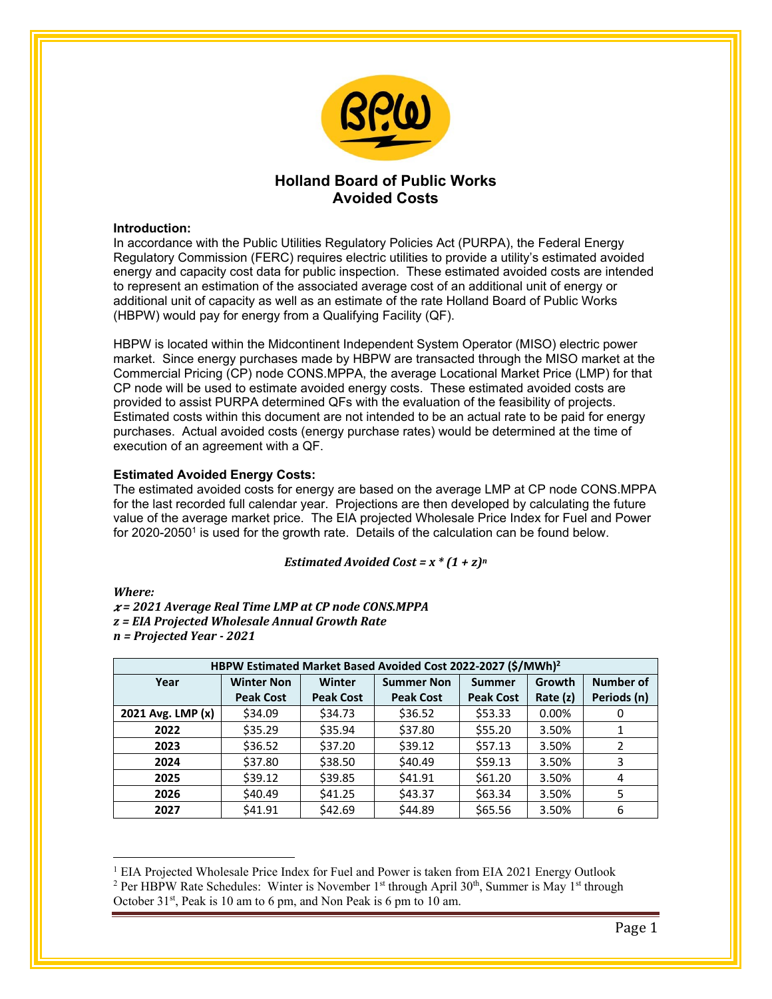

# **Holland Board of Public Works Avoided Costs**

## **Introduction:**

In accordance with the Public Utilities Regulatory Policies Act (PURPA), the Federal Energy Regulatory Commission (FERC) requires electric utilities to provide a utility's estimated avoided energy and capacity cost data for public inspection. These estimated avoided costs are intended to represent an estimation of the associated average cost of an additional unit of energy or additional unit of capacity as well as an estimate of the rate Holland Board of Public Works (HBPW) would pay for energy from a Qualifying Facility (QF).

HBPW is located within the Midcontinent Independent System Operator (MISO) electric power market. Since energy purchases made by HBPW are transacted through the MISO market at the Commercial Pricing (CP) node CONS.MPPA, the average Locational Market Price (LMP) for that CP node will be used to estimate avoided energy costs. These estimated avoided costs are provided to assist PURPA determined QFs with the evaluation of the feasibility of projects. Estimated costs within this document are not intended to be an actual rate to be paid for energy purchases. Actual avoided costs (energy purchase rates) would be determined at the time of execution of an agreement with a QF.

## **Estimated Avoided Energy Costs:**

The estimated avoided costs for energy are based on the average LMP at CP node CONS.MPPA for the last recorded full calendar year. Projections are then developed by calculating the future value of the average market price. The EIA projected Wholesale Price Index for Fuel and Power for 2020-2050<sup>1</sup> is used for the growth rate. Details of the calculation can be found below.

*Estimated Avoided Cost* =  $x * (1 + z)^n$ 

### *Where:*

 $\overline{a}$ 

 *= 2021 Average Real Time LMP at CP node CONS.MPPA z = EIA Projected Wholesale Annual Growth Rate n = Projected Year ‐ 2021*

| HBPW Estimated Market Based Avoided Cost 2022-2027 (\$/MWh) <sup>2</sup> |                   |                  |                   |                  |            |                  |
|--------------------------------------------------------------------------|-------------------|------------------|-------------------|------------------|------------|------------------|
| Year                                                                     | <b>Winter Non</b> | Winter           | <b>Summer Non</b> | <b>Summer</b>    | Growth     | <b>Number of</b> |
|                                                                          | <b>Peak Cost</b>  | <b>Peak Cost</b> | <b>Peak Cost</b>  | <b>Peak Cost</b> | Rate $(z)$ | Periods (n)      |
| 2021 Avg. LMP (x)                                                        | \$34.09           | \$34.73          | \$36.52           | \$53.33          | $0.00\%$   | 0                |
| 2022                                                                     | \$35.29           | \$35.94          | \$37.80           | \$55.20          | 3.50%      | 1                |
| 2023                                                                     | \$36.52           | \$37.20          | \$39.12           | \$57.13          | 3.50%      | 2                |
| 2024                                                                     | \$37.80           | \$38.50          | \$40.49           | \$59.13          | 3.50%      | 3                |
| 2025                                                                     | \$39.12           | \$39.85          | \$41.91           | \$61.20          | 3.50%      | 4                |
| 2026                                                                     | \$40.49           | \$41.25          | \$43.37           | \$63.34          | 3.50%      | 5                |
| 2027                                                                     | \$41.91           | \$42.69          | \$44.89           | \$65.56          | 3.50%      | 6                |

<sup>&</sup>lt;sup>1</sup> EIA Projected Wholesale Price Index for Fuel and Power is taken from EIA 2021 Energy Outlook <sup>2</sup> Per HBPW Rate Schedules: Winter is November 1<sup>st</sup> through April 30<sup>th</sup> Summer is May 1<sup>st</sup> through <sup>2</sup> Per HBPW Rate Schedules: Winter is November 1<sup>st</sup> through April 30<sup>th</sup>, Summer is May 1<sup>st</sup> through October 31<sup>st</sup>, Peak is 10 am to 6 pm, and Non Peak is 6 pm to 10 am.